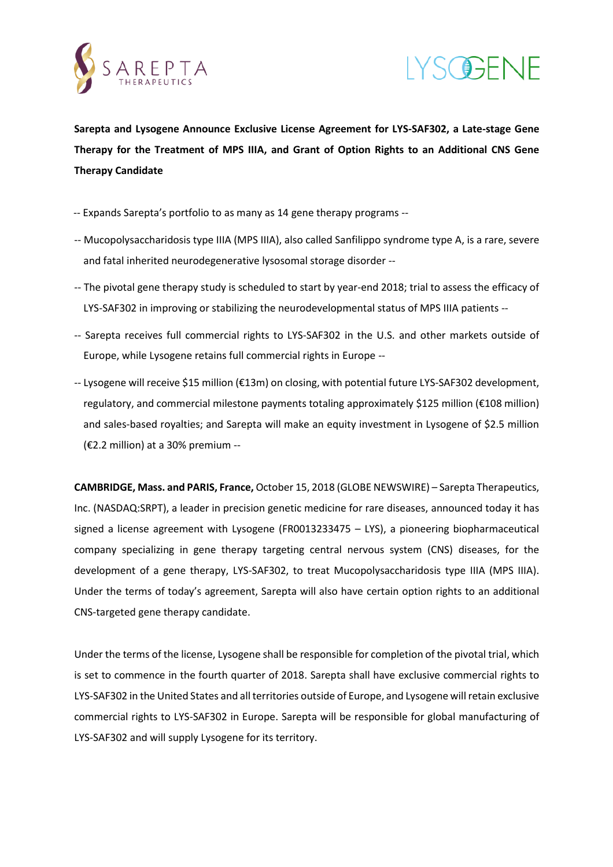



**Sarepta and Lysogene Announce Exclusive License Agreement for LYS-SAF302, a Late-stage Gene Therapy for the Treatment of MPS IIIA, and Grant of Option Rights to an Additional CNS Gene Therapy Candidate**

- -- Expands Sarepta's portfolio to as many as 14 gene therapy programs --
- -- Mucopolysaccharidosis type IIIA (MPS IIIA), also called Sanfilippo syndrome type A, is a rare, severe and fatal inherited neurodegenerative lysosomal storage disorder --
- -- The pivotal gene therapy study is scheduled to start by year-end 2018; trial to assess the efficacy of LYS-SAF302 in improving or stabilizing the neurodevelopmental status of MPS IIIA patients --
- -- Sarepta receives full commercial rights to LYS-SAF302 in the U.S. and other markets outside of Europe, while Lysogene retains full commercial rights in Europe --
- -- Lysogene will receive \$15 million (€13m) on closing, with potential future LYS-SAF302 development, regulatory, and commercial milestone payments totaling approximately \$125 million (€108 million) and sales-based royalties; and Sarepta will make an equity investment in Lysogene of \$2.5 million (€2.2 million) at a 30% premium --

**CAMBRIDGE, Mass. and PARIS, France,** October 15, 2018 (GLOBE NEWSWIRE) – Sarepta Therapeutics, Inc. (NASDAQ:SRPT), a leader in precision genetic medicine for rare diseases, announced today it has signed a license agreement with Lysogene (FR0013233475 – LYS), a pioneering biopharmaceutical company specializing in gene therapy targeting central nervous system (CNS) diseases, for the development of a gene therapy, LYS-SAF302, to treat Mucopolysaccharidosis type IIIA (MPS IIIA). Under the terms of today's agreement, Sarepta will also have certain option rights to an additional CNS-targeted gene therapy candidate.

Under the terms of the license, Lysogene shall be responsible for completion of the pivotal trial, which is set to commence in the fourth quarter of 2018. Sarepta shall have exclusive commercial rights to LYS-SAF302 in the United States and all territories outside of Europe, and Lysogene will retain exclusive commercial rights to LYS-SAF302 in Europe. Sarepta will be responsible for global manufacturing of LYS-SAF302 and will supply Lysogene for its territory.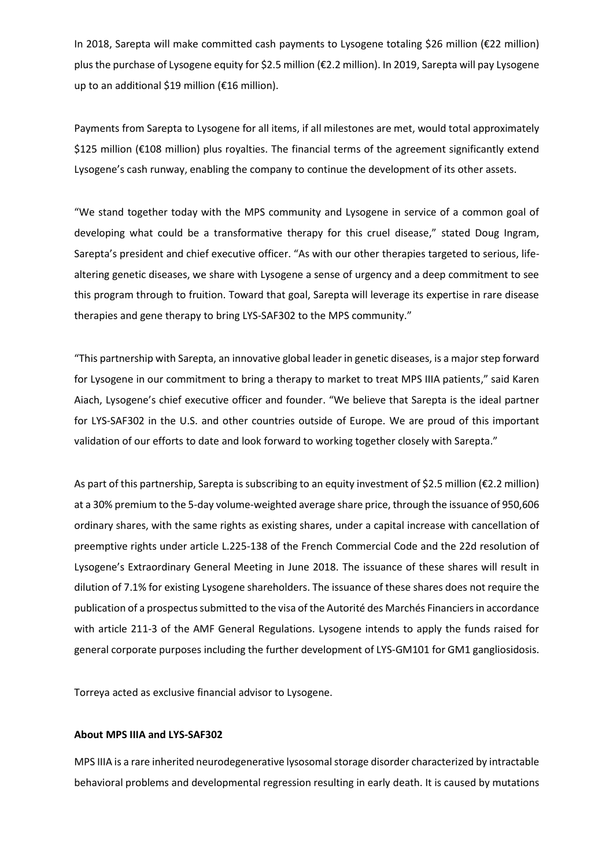In 2018, Sarepta will make committed cash payments to Lysogene totaling \$26 million (€22 million) plus the purchase of Lysogene equity for \$2.5 million (€2.2 million). In 2019, Sarepta will pay Lysogene up to an additional \$19 million (€16 million).

Payments from Sarepta to Lysogene for all items, if all milestones are met, would total approximately \$125 million (€108 million) plus royalties. The financial terms of the agreement significantly extend Lysogene's cash runway, enabling the company to continue the development of its other assets.

"We stand together today with the MPS community and Lysogene in service of a common goal of developing what could be a transformative therapy for this cruel disease," stated Doug Ingram, Sarepta's president and chief executive officer. "As with our other therapies targeted to serious, lifealtering genetic diseases, we share with Lysogene a sense of urgency and a deep commitment to see this program through to fruition. Toward that goal, Sarepta will leverage its expertise in rare disease therapies and gene therapy to bring LYS-SAF302 to the MPS community."

"This partnership with Sarepta, an innovative global leader in genetic diseases, is a major step forward for Lysogene in our commitment to bring a therapy to market to treat MPS IIIA patients," said Karen Aiach, Lysogene's chief executive officer and founder. "We believe that Sarepta is the ideal partner for LYS-SAF302 in the U.S. and other countries outside of Europe. We are proud of this important validation of our efforts to date and look forward to working together closely with Sarepta."

As part of this partnership, Sarepta is subscribing to an equity investment of \$2.5 million (€2.2 million) at a 30% premium to the 5-day volume-weighted average share price, through the issuance of 950,606 ordinary shares, with the same rights as existing shares, under a capital increase with cancellation of preemptive rights under article L.225-138 of the French Commercial Code and the 22d resolution of Lysogene's Extraordinary General Meeting in June 2018. The issuance of these shares will result in dilution of 7.1% for existing Lysogene shareholders. The issuance of these shares does not require the publication of a prospectus submitted to the visa of the Autorité des Marchés Financiers in accordance with article 211-3 of the AMF General Regulations. Lysogene intends to apply the funds raised for general corporate purposes including the further development of LYS-GM101 for GM1 gangliosidosis.

Torreya acted as exclusive financial advisor to Lysogene.

## **About MPS IIIA and LYS-SAF302**

MPS IIIA is a rare inherited neurodegenerative lysosomal storage disorder characterized by intractable behavioral problems and developmental regression resulting in early death. It is caused by mutations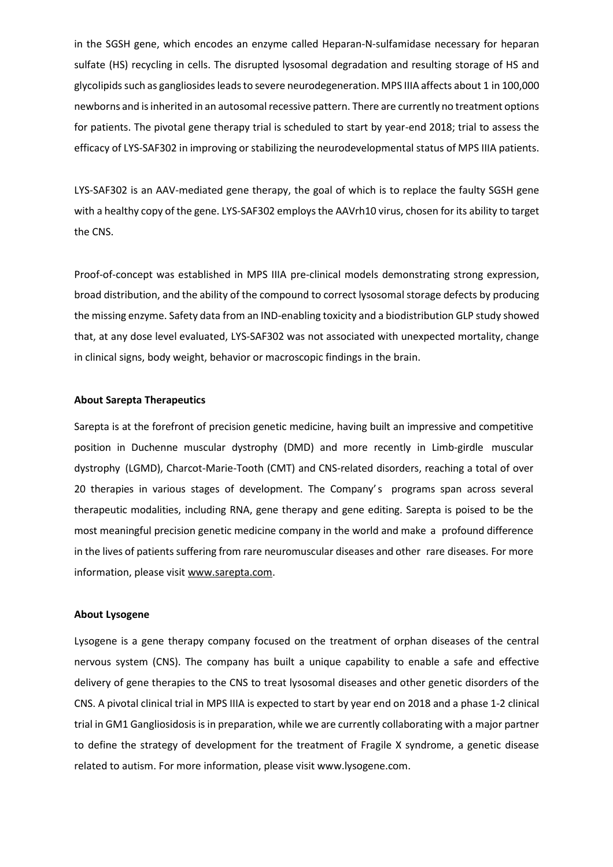in the SGSH gene, which encodes an enzyme called Heparan-N-sulfamidase necessary for heparan sulfate (HS) recycling in cells. The disrupted lysosomal degradation and resulting storage of HS and glycolipids such as gangliosides leads to severe neurodegeneration. MPS IIIA affects about 1 in 100,000 newborns and is inherited in an autosomal recessive pattern. There are currently no treatment options for patients. The pivotal gene therapy trial is scheduled to start by year-end 2018; trial to assess the efficacy of LYS-SAF302 in improving or stabilizing the neurodevelopmental status of MPS IIIA patients.

LYS-SAF302 is an AAV-mediated gene therapy, the goal of which is to replace the faulty SGSH gene with a healthy copy of the gene. LYS-SAF302 employs the AAVrh10 virus, chosen for its ability to target the CNS.

Proof-of-concept was established in MPS IIIA pre-clinical models demonstrating strong expression, broad distribution, and the ability of the compound to correct lysosomal storage defects by producing the missing enzyme. Safety data from an IND-enabling toxicity and a biodistribution GLP study showed that, at any dose level evaluated, LYS-SAF302 was not associated with unexpected mortality, change in clinical signs, body weight, behavior or macroscopic findings in the brain.

## **About Sarepta Therapeutics**

Sarepta is at the forefront of precision genetic medicine, having built an impressive and competitive position in Duchenne muscular dystrophy (DMD) and more recently in Limb-girdle muscular dystrophy (LGMD), Charcot-Marie-Tooth (CMT) and CNS-related disorders, reaching a total of over 20 therapies in various stages of development. The Company's programs span across several therapeutic modalities, including RNA, gene therapy and gene editing. Sarepta is poised to be the most meaningful precision genetic medicine company in the world and make a profound difference in the lives of patients suffering from rare neuromuscular diseases and other rare diseases. For more information, please visit [www.sarepta.com.](http://www.sarepta.com/)

# **About Lysogene**

Lysogene is a gene therapy company focused on the treatment of orphan diseases of the central nervous system (CNS). The company has built a unique capability to enable a safe and effective delivery of gene therapies to the CNS to treat lysosomal diseases and other genetic disorders of the CNS. A pivotal clinical trial in MPS IIIA is expected to start by year end on 2018 and a phase 1-2 clinical trial in GM1 Gangliosidosis is in preparation, while we are currently collaborating with a major partner to define the strategy of development for the treatment of Fragile X syndrome, a genetic disease related to autism. For more information, please visit www.lysogene.com.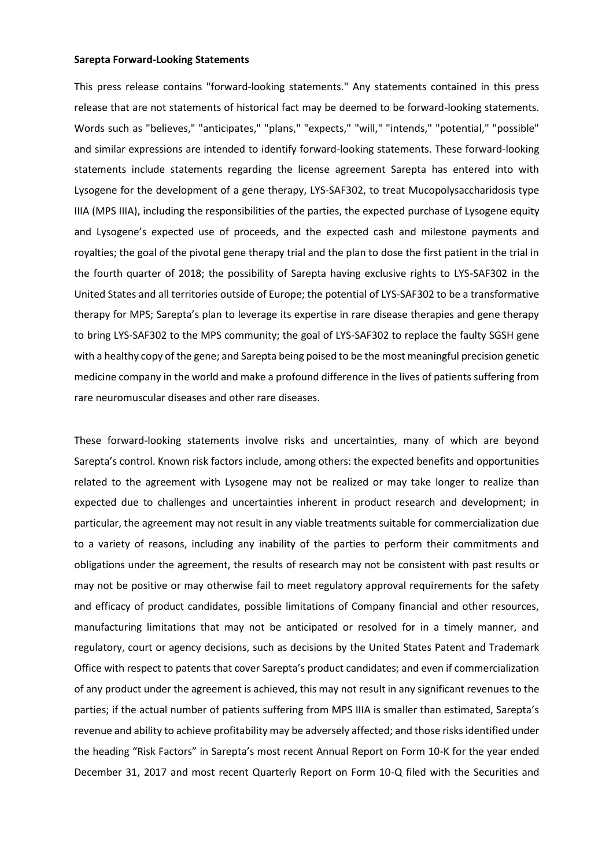### **Sarepta Forward-Looking Statements**

This press release contains "forward-looking statements." Any statements contained in this press release that are not statements of historical fact may be deemed to be forward-looking statements. Words such as "believes," "anticipates," "plans," "expects," "will," "intends," "potential," "possible" and similar expressions are intended to identify forward-looking statements. These forward-looking statements include statements regarding the license agreement Sarepta has entered into with Lysogene for the development of a gene therapy, LYS-SAF302, to treat Mucopolysaccharidosis type IIIA (MPS IIIA), including the responsibilities of the parties, the expected purchase of Lysogene equity and Lysogene's expected use of proceeds, and the expected cash and milestone payments and royalties; the goal of the pivotal gene therapy trial and the plan to dose the first patient in the trial in the fourth quarter of 2018; the possibility of Sarepta having exclusive rights to LYS-SAF302 in the United States and all territories outside of Europe; the potential of LYS-SAF302 to be a transformative therapy for MPS; Sarepta's plan to leverage its expertise in rare disease therapies and gene therapy to bring LYS-SAF302 to the MPS community; the goal of LYS-SAF302 to replace the faulty SGSH gene with a healthy copy of the gene; and Sarepta being poised to be the most meaningful precision genetic medicine company in the world and make a profound difference in the lives of patients suffering from rare neuromuscular diseases and other rare diseases.

These forward-looking statements involve risks and uncertainties, many of which are beyond Sarepta's control. Known risk factors include, among others: the expected benefits and opportunities related to the agreement with Lysogene may not be realized or may take longer to realize than expected due to challenges and uncertainties inherent in product research and development; in particular, the agreement may not result in any viable treatments suitable for commercialization due to a variety of reasons, including any inability of the parties to perform their commitments and obligations under the agreement, the results of research may not be consistent with past results or may not be positive or may otherwise fail to meet regulatory approval requirements for the safety and efficacy of product candidates, possible limitations of Company financial and other resources, manufacturing limitations that may not be anticipated or resolved for in a timely manner, and regulatory, court or agency decisions, such as decisions by the United States Patent and Trademark Office with respect to patents that cover Sarepta's product candidates; and even if commercialization of any product under the agreement is achieved, this may not result in any significant revenues to the parties; if the actual number of patients suffering from MPS IIIA is smaller than estimated, Sarepta's revenue and ability to achieve profitability may be adversely affected; and those risks identified under the heading "Risk Factors" in Sarepta's most recent Annual Report on Form 10-K for the year ended December 31, 2017 and most recent Quarterly Report on Form 10-Q filed with the Securities and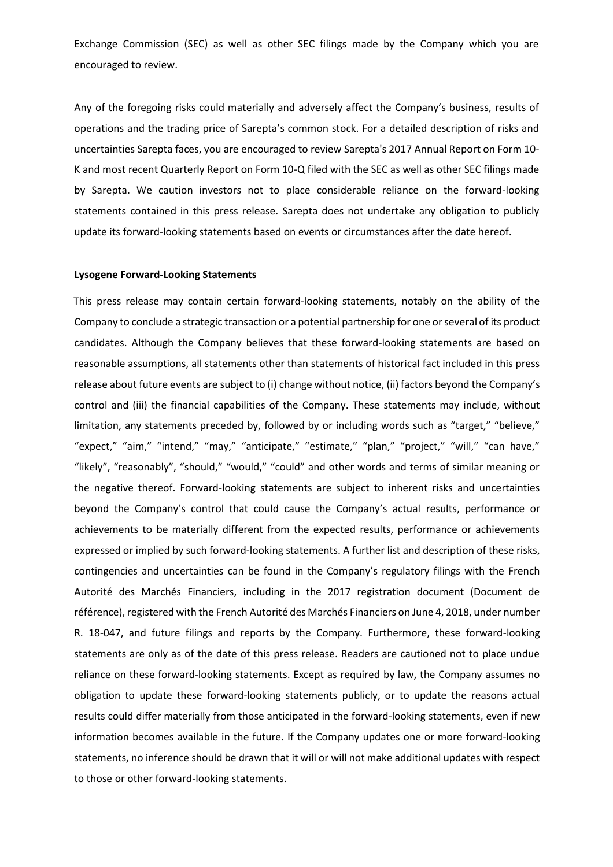Exchange Commission (SEC) as well as other SEC filings made by the Company which you are encouraged to review.

Any of the foregoing risks could materially and adversely affect the Company's business, results of operations and the trading price of Sarepta's common stock. For a detailed description of risks and uncertainties Sarepta faces, you are encouraged to review Sarepta's 2017 Annual Report on Form 10- K and most recent Quarterly Report on Form 10-Q filed with the SEC as well as other SEC filings made by Sarepta. We caution investors not to place considerable reliance on the forward-looking statements contained in this press release. Sarepta does not undertake any obligation to publicly update its forward-looking statements based on events or circumstances after the date hereof.

### **Lysogene Forward-Looking Statements**

This press release may contain certain forward-looking statements, notably on the ability of the Company to conclude a strategic transaction or a potential partnership for one or several of its product candidates. Although the Company believes that these forward-looking statements are based on reasonable assumptions, all statements other than statements of historical fact included in this press release about future events are subject to (i) change without notice, (ii) factors beyond the Company's control and (iii) the financial capabilities of the Company. These statements may include, without limitation, any statements preceded by, followed by or including words such as "target," "believe," "expect," "aim," "intend," "may," "anticipate," "estimate," "plan," "project," "will," "can have," "likely", "reasonably", "should," "would," "could" and other words and terms of similar meaning or the negative thereof. Forward-looking statements are subject to inherent risks and uncertainties beyond the Company's control that could cause the Company's actual results, performance or achievements to be materially different from the expected results, performance or achievements expressed or implied by such forward-looking statements. A further list and description of these risks, contingencies and uncertainties can be found in the Company's regulatory filings with the French Autorité des Marchés Financiers, including in the 2017 registration document (Document de référence), registered with the French Autorité des Marchés Financiers on June 4, 2018, under number R. 18-047, and future filings and reports by the Company. Furthermore, these forward-looking statements are only as of the date of this press release. Readers are cautioned not to place undue reliance on these forward-looking statements. Except as required by law, the Company assumes no obligation to update these forward-looking statements publicly, or to update the reasons actual results could differ materially from those anticipated in the forward-looking statements, even if new information becomes available in the future. If the Company updates one or more forward-looking statements, no inference should be drawn that it will or will not make additional updates with respect to those or other forward-looking statements.